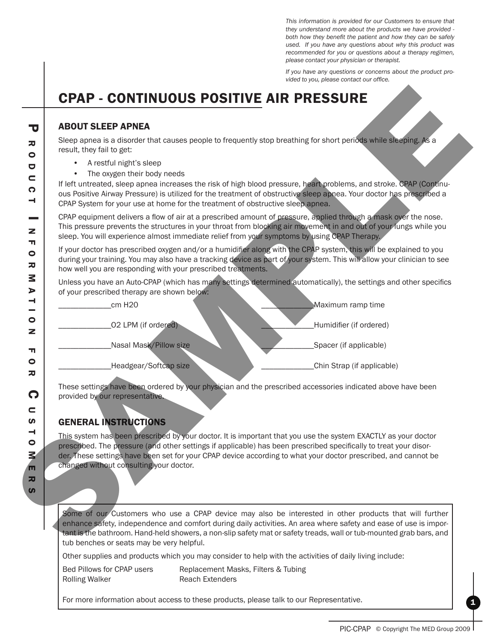*This information is provided for our Customers to ensure that they understand more about the products we have provided both how they benefit the patient and how they can be safely used. If you have any questions about why this product was recommended for you or questions about a therapy regimen, please contact your physician or therapist.*

*If you have any questions or concerns about the product provided to you, please contact our office.*

# CPAP - Continuous Positive air pressure

### ABOUT SLEEP APNEA

- • A restful night's sleep
- The oxygen their body needs

| Sleep apnea is a disorder that causes people to frequently stop breathing for short periods while sleeping. As a<br>result, they fail to get:<br>A restful night's sleep<br>The oxygen their body needs<br>If left untreated, sleep apnea increases the risk of high blood pressure, heart problems, and stroke. CPAP (Continu-<br>ous Positive Airway Pressure) is utilized for the treatment of obstructive sleep appea. Your doctor has prescribed a<br>CPAP System for your use at home for the treatment of obstructive sleep apnea.<br>CPAP equipment delivers a flow of air at a prescribed amount of pressure, applied through a mask over the nose.<br>This pressure prevents the structures in your throat from blocking air movement in and out of your lungs while you<br>sleep. You will experience almost immediate relief from your symptoms by using CPAP Therapy.<br>If your doctor has prescribed oxygen and/or a humidifier along with the CPAP system, this will be explained to you<br>during your training. You may also have a tracking device as part of your system. This will allow your clinician to see<br>how well you are responding with your prescribed treatments. |
|-----------------------------------------------------------------------------------------------------------------------------------------------------------------------------------------------------------------------------------------------------------------------------------------------------------------------------------------------------------------------------------------------------------------------------------------------------------------------------------------------------------------------------------------------------------------------------------------------------------------------------------------------------------------------------------------------------------------------------------------------------------------------------------------------------------------------------------------------------------------------------------------------------------------------------------------------------------------------------------------------------------------------------------------------------------------------------------------------------------------------------------------------------------------------------------------------------|
|                                                                                                                                                                                                                                                                                                                                                                                                                                                                                                                                                                                                                                                                                                                                                                                                                                                                                                                                                                                                                                                                                                                                                                                                     |
|                                                                                                                                                                                                                                                                                                                                                                                                                                                                                                                                                                                                                                                                                                                                                                                                                                                                                                                                                                                                                                                                                                                                                                                                     |
|                                                                                                                                                                                                                                                                                                                                                                                                                                                                                                                                                                                                                                                                                                                                                                                                                                                                                                                                                                                                                                                                                                                                                                                                     |
|                                                                                                                                                                                                                                                                                                                                                                                                                                                                                                                                                                                                                                                                                                                                                                                                                                                                                                                                                                                                                                                                                                                                                                                                     |
| Unless you have an Auto-CPAP (which has many settings determined automatically), the settings and other specifics<br>of your prescribed therapy are shown below:                                                                                                                                                                                                                                                                                                                                                                                                                                                                                                                                                                                                                                                                                                                                                                                                                                                                                                                                                                                                                                    |
| Maximum ramp time<br>cm H20                                                                                                                                                                                                                                                                                                                                                                                                                                                                                                                                                                                                                                                                                                                                                                                                                                                                                                                                                                                                                                                                                                                                                                         |
| 02 LPM (if ordered)<br>Humidifier (if ordered)                                                                                                                                                                                                                                                                                                                                                                                                                                                                                                                                                                                                                                                                                                                                                                                                                                                                                                                                                                                                                                                                                                                                                      |
| Nasal Mask/Pillow size<br>Spacer (if applicable)                                                                                                                                                                                                                                                                                                                                                                                                                                                                                                                                                                                                                                                                                                                                                                                                                                                                                                                                                                                                                                                                                                                                                    |
| Headgear/Softcap size<br>Chin Strap (if applicable)                                                                                                                                                                                                                                                                                                                                                                                                                                                                                                                                                                                                                                                                                                                                                                                                                                                                                                                                                                                                                                                                                                                                                 |
| These settings have been ordered by your physician and the prescribed accessories indicated above have been<br>provided by our representative.                                                                                                                                                                                                                                                                                                                                                                                                                                                                                                                                                                                                                                                                                                                                                                                                                                                                                                                                                                                                                                                      |
| <b>GENERAL INSTRUCTIONS</b>                                                                                                                                                                                                                                                                                                                                                                                                                                                                                                                                                                                                                                                                                                                                                                                                                                                                                                                                                                                                                                                                                                                                                                         |
| This system has been prescribed by your doctor. It is important that you use the system EXACTLY as your doctor<br>prescribed. The pressure (and other settings if applicable) has been prescribed specifically to treat your disor-<br>der. These settings have been set for your CPAP device according to what your doctor prescribed, and cannot be<br>changed without consulting your doctor.                                                                                                                                                                                                                                                                                                                                                                                                                                                                                                                                                                                                                                                                                                                                                                                                    |
|                                                                                                                                                                                                                                                                                                                                                                                                                                                                                                                                                                                                                                                                                                                                                                                                                                                                                                                                                                                                                                                                                                                                                                                                     |

## GENERAL INSTRUCTIONS

Other supplies and products which you may consider to help with the activities of daily living include:

Rolling Walker **Reach Extenders** 

Bed Pillows for CPAP users Replacement Masks, Filters & Tubing

For more information about access to these products, please talk to our Representative.

1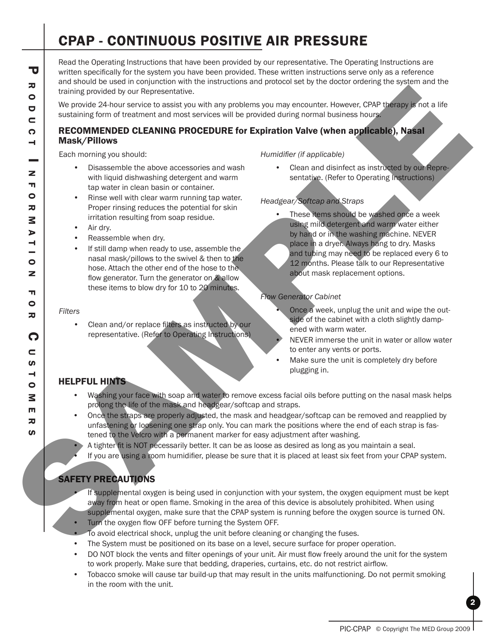# CPAP - Continuous Positive air pressure

Read the Operating Instructions that have been provided by our representative. The Operating Instructions are written specifically for the system you have been provided. These written instructions serve only as a reference and should be used in conjunction with the instructions and protocol set by the doctor ordering the system and the training provided by our Representative.

We provide 24-hour service to assist you with any problems you may encounter. However, CPAP therapy is not a life sustaining form of treatment and most services will be provided during normal business hours.

#### RECOMMENDED CLEANING PROCEDURE for Expiration Valve (when applicable), Nasal Mask/Pillows

Each morning you should:

- • Disassemble the above accessories and wash with liquid dishwashing detergent and warm tap water in clean basin or container.
- Rinse well with clear warm running tap water. Proper rinsing reduces the potential for skin irritation resulting from soap residue.
- • Air dry.
- Reassemble when dry.
- If still damp when ready to use, assemble the nasal mask/pillows to the swivel & then to the hose. Attach the other end of the hose to the flow generator. Turn the generator on & allow these items to blow dry for 10 to 20 minutes.

#### *Filters*

Clean and/or replace filters as instructed by our representative. (Refer to Operating Instructions)

#### *Humidifier (if applicable)*

• Clean and disinfect as instructed by our Representative. (Refer to Operating Instructions)

#### *Headgear/Softcap and Straps*

These items should be washed once a week using mild detergent and warm water either by hand or in the washing machine. NEVER place in a dryer. Always hang to dry. Masks and tubing may need to be replaced every 6 to 12 months. Please talk to our Representative about mask replacement options. The procedure of the transmission of the transmission of the transmission of the state of the state of the state of the state of the state of the state of the state of the state of the state of the state of the state of t

#### *Flow Generator Cabinet*

- Once a week, unplug the unit and wipe the outside of the cabinet with a cloth slightly dampened with warm water.
- NEVER immerse the unit in water or allow water to enter any vents or ports.
- Make sure the unit is completely dry before plugging in.

#### HELPFUL HINTS

- Washing your face with soap and water to remove excess facial oils before putting on the nasal mask helps prolong the life of the mask and headgear/softcap and straps.
- Once the straps are properly adjusted, the mask and headgear/softcap can be removed and reapplied by unfastening or loosening one strap only. You can mark the positions where the end of each strap is fastened to the Velcro with a permanent marker for easy adjustment after washing.
- A tighter fit is NOT necessarily better. It can be as loose as desired as long as you maintain a seal.
- If you are using a room humidifier, please be sure that it is placed at least six feet from your CPAP system.

## SAFETY PRECAUTIONS

- If supplemental oxygen is being used in conjunction with your system, the oxygen equipment must be kept away from heat or open flame. Smoking in the area of this device is absolutely prohibited. When using supplemental oxygen, make sure that the CPAP system is running before the oxygen source is turned ON.
- Turn the oxygen flow OFF before turning the System OFF.
- To avoid electrical shock, unplug the unit before cleaning or changing the fuses.
- The System must be positioned on its base on a level, secure surface for proper operation.
- DO NOT block the vents and filter openings of your unit. Air must flow freely around the unit for the system to work properly. Make sure that bedding, draperies, curtains, etc. do not restrict airflow.
- Tobacco smoke will cause tar build-up that may result in the units malfunctioning. Do not permit smoking in the room with the unit.

PIC-CPAP © Copyright The MED Group 2009

2